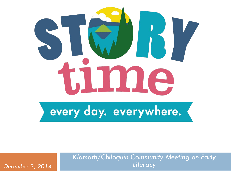

every day. everywhere.

*Klamath/Chiloquin Community Meeting on Early December 3, 2014 Literacy*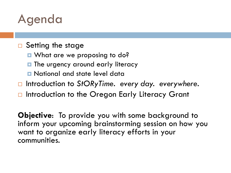## Agenda

### □ Setting the stage

- What are we proposing to do?
- **The urgency around early literacy**
- National and state level data
- □ Introduction to StORyTime. every day. everywhere.
- □ Introduction to the Oregon Early Literacy Grant

**Objective**: To provide you with some background to inform your upcoming brainstorming session on how you want to organize early literacy efforts in your communities.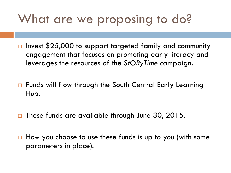# What are we proposing to do?

- $\square$  Invest \$25,000 to support targeted family and community engagement that focuses on promoting early literacy and leverages the resources of the *StORyTime* campaign.
- □ Funds will flow through the South Central Early Learning Hub.
- $\square$  These funds are available through June 30, 2015.
- $\Box$  How you choose to use these funds is up to you (with some parameters in place).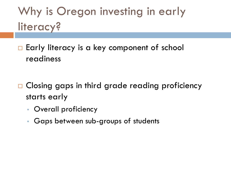Why is Oregon investing in early literacy?

 $\Box$  Early literacy is a key component of school readiness

- □ Closing gaps in third grade reading proficiency starts early
	- Overall proficiency
	- Gaps between sub-groups of students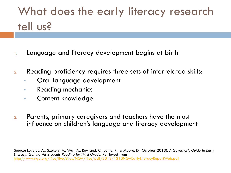# What does the early literacy research tell us?

- 1. Language and literacy development begins at birth
- 2. Reading proficiency requires three sets of interrelated skills:
	- Oral language development
	- Reading mechanics
	- Content knowledge
- 3. Parents, primary caregivers and teachers have the most influence on children's language and literacy development

Source: Lovejoy, A., Szekely, A., Wat, A., Rowland, C., Laine, R., & Moore, D. (October 2013). *A Governor's Guide to Early Literacy: Getting All Students Reading by Third Grade*. Retrieved from http://www.nga.org/files/live/sites/NGA/files/pdf/2013/1310NGAEarlyLiteracyReportWeb.pdf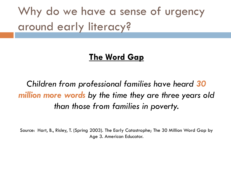Why do we have a sense of urgency around early literacy?

### **The Word Gap**

*Children from professional families have heard 30 million more words by the time they are three years old than those from families in poverty.*

Source: Hart, B., Risley, T. (Spring 2003). The Early Catastrophe; The 30 Million Word Gap by Age 3. American Educator.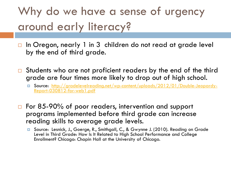# Why do we have a sense of urgency around early literacy?

- $\Box$  In Oregon, nearly 1 in 3 children do not read at grade level by the end of third grade.
- $\Box$  Students who are not proficient readers by the end of the third grade are four times more likely to drop out of high school.
	- [Source: http://gradelevelreading.net/wp-content/uploads/2012/01/Double-Jeopardy-](http://gradelevelreading.net/wp-content/uploads/2012/01/Double-Jeopardy-Report-030812-for-web1.pdf) Report-030812-for-web1.pdf
- □ For 85-90% of poor readers, intervention and support programs implemented before third grade can increase reading skills to average grade levels.
	- Source: Lesnick, J., Goerge, R., Smithgall, C., & Gwynne J. (2010). Reading on Grade Level in Third Grade: How Is It Related to High School Performance and College Enrollment? Chicago: Chapin Hall at the University of Chicago.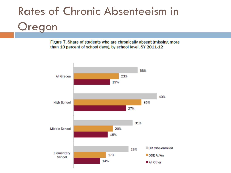# Rates of Chronic Absenteeism in Oregon

Figure 7. Share of students who are chronically absent (missing more than 10 percent of school days), by school level, SY 2011-12

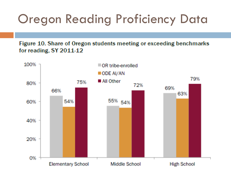# Oregon Reading Proficiency Data

Figure 10. Share of Oregon students meeting or exceeding benchmarks for reading, SY 2011-12

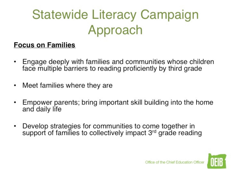# Statewide Literacy Campaign Approach

### Focus on Families

- Engage deeply with families and communities whose children ٠ face multiple barriers to reading proficiently by third grade
- Meet families where they are ٠
- Empower parents; bring important skill building into the
- Develop strategies for communities to come together in ٠ Develop strategies for communities to come together in

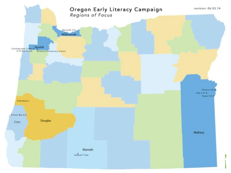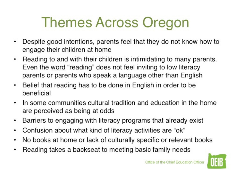# Themes Across Oregon

- Despite good intentions, parents feel that they do not know how to
- engage their children at home<br>• Reading to and with their children is intimidating to many parents. Even the word "reading" does not feel inviting to low literacy parents or parents who speak a language other than English
- Belief that reading has to be done in English in order to be beneficial that reading has to be a state of the beneficial to be a state of the state of the beneficial to be
	- $\cdot$  In some communities cultural tradition and education in the home are perceived as being at odds
	- Barriers to engaging with literacy programs that already exist
	- $\cdot$  Confusion about what kind of literacy activities are "ok"
	- No books at home or lack of culturally specific or relevant books
	- Reading takes a backseat to meeting basic family needs

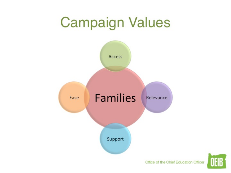# **Campaign Values**





Office of the Chief Education Officer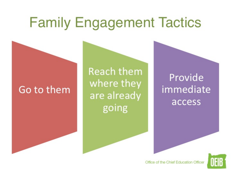# **Family Engagement Tactics**

### Go to them

**Reach them** where they are already going

Provide immediate access



Office of the Chief Education Office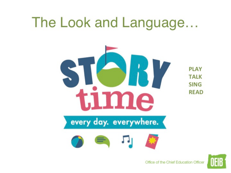# The Look and Language...



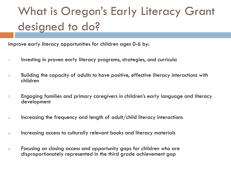# What is Oregon's Early Literacy Grant designed to do?

Improve early literacy opportunities for children ages 0-6 by:

- 1. Investing in proven early literacy programs, strategies, and curricula
- 2. Building the capacity of adults to have positive, effective literacy interactions with children
- 3. Engaging families and primary caregivers in children's early language and literacy development
- 4. Increasing the frequency and length of adult/child literacy interactions
- 5. Increasing access to culturally relevant books and literacy materials
- 6. Focusing on closing access and opportunity gaps for children who are disproportionately represented in the third grade achievement gap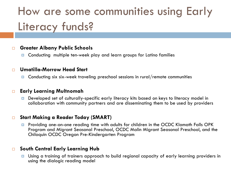## How are some communities using Early Literacy funds?

#### **Greater Albany Public Schools**

**D** Conducting multiple ten-week play and learn groups for Latino families

#### **Umatilla-Morrow Head Start**

**□** Conducting six six-week traveling preschool sessions in rural/remote communities

#### **Early Learning Multnomah**

 Developed set of culturally-specific early literacy kits based on keys to literacy model in collaboration with community partners and are disseminating them to be used by providers

#### **Start Making a Reader Today (SMART)**

**P** Providing one-on-one reading time with adults for children in the OCDC Klamath Falls OPK Program and Migrant Seasonal Preschool, OCDC Malin Migrant Seasonal Preschool, and the Chiloquin OCDC Oregon Pre-Kindergarten Program

#### **South Central Early Learning Hub**

**<u>D</u>** Using a training of trainers approach to build regional capacity of early learning providers in using the dialogic reading model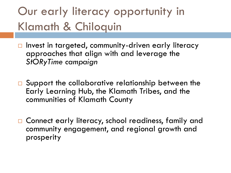## Our early literacy opportunity in Klamath & Chiloquin

- $\Box$  Invest in targeted, community-driven early literacy approaches that align with and leverage the *StORyTime campaign*
- □ Support the collaborative relationship between the Early Learning Hub, the Klamath Tribes, and the communities of Klamath County
- □ Connect early literacy, school readiness, family and community engagement, and regional growth and prosperity